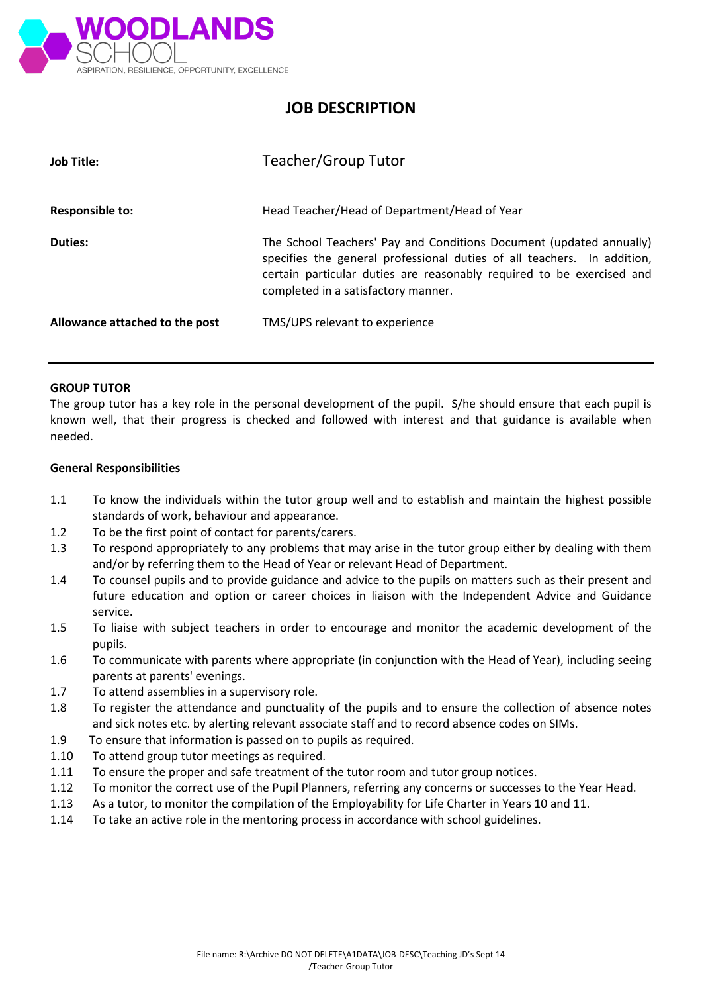

# **JOB DESCRIPTION**

| <b>Job Title:</b>              | Teacher/Group Tutor                                                                                                                                                                                                                                            |
|--------------------------------|----------------------------------------------------------------------------------------------------------------------------------------------------------------------------------------------------------------------------------------------------------------|
| <b>Responsible to:</b>         | Head Teacher/Head of Department/Head of Year                                                                                                                                                                                                                   |
| Duties:                        | The School Teachers' Pay and Conditions Document (updated annually)<br>specifies the general professional duties of all teachers. In addition,<br>certain particular duties are reasonably required to be exercised and<br>completed in a satisfactory manner. |
| Allowance attached to the post | TMS/UPS relevant to experience                                                                                                                                                                                                                                 |

#### **GROUP TUTOR**

The group tutor has a key role in the personal development of the pupil. S/he should ensure that each pupil is known well, that their progress is checked and followed with interest and that guidance is available when needed.

#### **General Responsibilities**

- 1.1 To know the individuals within the tutor group well and to establish and maintain the highest possible standards of work, behaviour and appearance.
- 1.2 To be the first point of contact for parents/carers.
- 1.3 To respond appropriately to any problems that may arise in the tutor group either by dealing with them and/or by referring them to the Head of Year or relevant Head of Department.
- 1.4 To counsel pupils and to provide guidance and advice to the pupils on matters such as their present and future education and option or career choices in liaison with the Independent Advice and Guidance service.
- 1.5 To liaise with subject teachers in order to encourage and monitor the academic development of the pupils.
- 1.6 To communicate with parents where appropriate (in conjunction with the Head of Year), including seeing parents at parents' evenings.
- 1.7 To attend assemblies in a supervisory role.
- 1.8 To register the attendance and punctuality of the pupils and to ensure the collection of absence notes and sick notes etc. by alerting relevant associate staff and to record absence codes on SIMs.
- 1.9 To ensure that information is passed on to pupils as required.
- 1.10 To attend group tutor meetings as required.
- 1.11 To ensure the proper and safe treatment of the tutor room and tutor group notices.
- 1.12 To monitor the correct use of the Pupil Planners, referring any concerns or successes to the Year Head.
- 1.13 As a tutor, to monitor the compilation of the Employability for Life Charter in Years 10 and 11.
- 1.14 To take an active role in the mentoring process in accordance with school guidelines.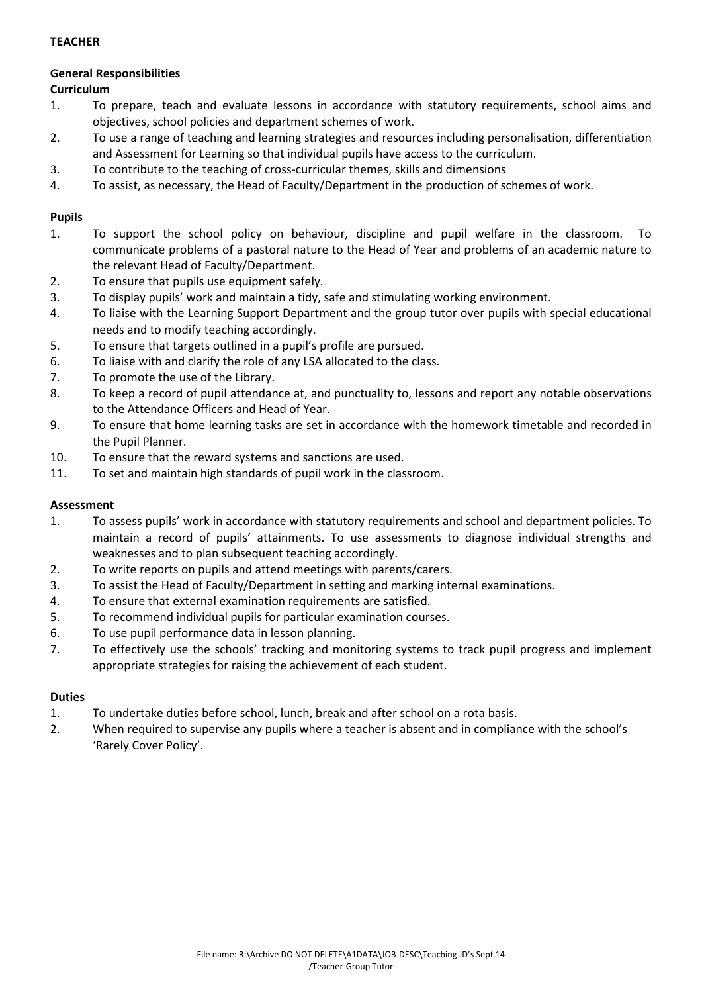# **TEACHER**

# **General Responsibilities**

# **Curriculum**

- 1. To prepare, teach and evaluate lessons in accordance with statutory requirements, school aims and objectives, school policies and department schemes of work.
- 2. To use a range of teaching and learning strategies and resources including personalisation, differentiation and Assessment for Learning so that individual pupils have access to the curriculum.
- 3. To contribute to the teaching of cross-curricular themes, skills and dimensions
- 4. To assist, as necessary, the Head of Faculty/Department in the production of schemes of work.

## **Pupils**

- 1. To support the school policy on behaviour, discipline and pupil welfare in the classroom. To communicate problems of a pastoral nature to the Head of Year and problems of an academic nature to the relevant Head of Faculty/Department.
- 2. To ensure that pupils use equipment safely.
- 3. To display pupils' work and maintain a tidy, safe and stimulating working environment.
- 4. To liaise with the Learning Support Department and the group tutor over pupils with special educational needs and to modify teaching accordingly.
- 5. To ensure that targets outlined in a pupil's profile are pursued.
- 6. To liaise with and clarify the role of any LSA allocated to the class.
- 7. To promote the use of the Library.
- 8. To keep a record of pupil attendance at, and punctuality to, lessons and report any notable observations to the Attendance Officers and Head of Year.
- 9. To ensure that home learning tasks are set in accordance with the homework timetable and recorded in the Pupil Planner.
- 10. To ensure that the reward systems and sanctions are used.
- 11. To set and maintain high standards of pupil work in the classroom.

#### **Assessment**

- 1. To assess pupils' work in accordance with statutory requirements and school and department policies. To maintain a record of pupils' attainments. To use assessments to diagnose individual strengths and weaknesses and to plan subsequent teaching accordingly.
- 2. To write reports on pupils and attend meetings with parents/carers.
- 3. To assist the Head of Faculty/Department in setting and marking internal examinations.
- 4. To ensure that external examination requirements are satisfied.
- 5. To recommend individual pupils for particular examination courses.
- 6. To use pupil performance data in lesson planning.
- 7. To effectively use the schools' tracking and monitoring systems to track pupil progress and implement appropriate strategies for raising the achievement of each student.

### **Duties**

- 1. To undertake duties before school, lunch, break and after school on a rota basis.
- 2. When required to supervise any pupils where a teacher is absent and in compliance with the school's 'Rarely Cover Policy'.